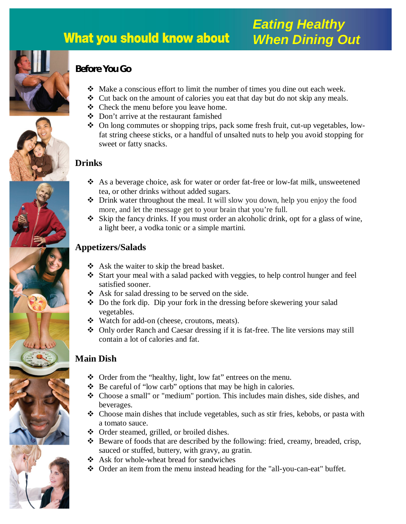# **What you should know about**



# **Before You Go**

- Make a conscious effort to limit the number of times you dine out each week.
- Cut back on the amount of calories you eat that day but do not skip any meals.
- $\triangleleft$  Check the menu before you leave home.
- Don't arrive at the restaurant famished
- On long commutes or shopping trips, pack some fresh fruit, cut-up vegetables, lowfat string cheese sticks, or a handful of unsalted nuts to help you avoid stopping for sweet or fatty snacks.

## **Drinks**

- As a beverage choice, ask for water or order fat-free or low-fat milk, unsweetened tea, or other drinks without added sugars.
- Drink water throughout the meal. It will slow you down, help you enjoy the food more, and let the message get to your brain that you're full.
- $\hat{\mathbf{x}}$  Skip the fancy drinks. If you must order an alcoholic drink, opt for a glass of wine, a light beer, a vodka tonic or a simple martini.

## **Appetizers/Salads**

- ❖ Ask the waiter to skip the bread basket.
- Start your meal with a salad packed with veggies, to help control hunger and feel satisfied sooner.
- $\triangleleft$  Ask for salad dressing to be served on the side.
- Do the fork dip. Dip your fork in the dressing before skewering your salad vegetables.
- Watch for add-on (cheese, croutons, meats).
- Only order Ranch and Caesar dressing if it is fat-free. The lite versions may still contain a lot of calories and fat.

# **Main Dish**

- Order from the "healthy, light, low fat" entrees on the menu.
- $\bullet$  Be careful of "low carb" options that may be high in calories.
- Choose a small" or "medium" portion. This includes main dishes, side dishes, and beverages.
- Choose main dishes that include vegetables, such as stir fries, kebobs, or pasta with a tomato sauce.
- Order steamed, grilled, or broiled dishes.
- Beware of foods that are described by the following: fried, creamy, breaded, crisp, sauced or stuffed, buttery, with gravy, au gratin.
- $\triangle$  Ask for whole-wheat bread for sandwiches
- Order an item from the menu instead heading for the "all-you-can-eat" buffet*.*